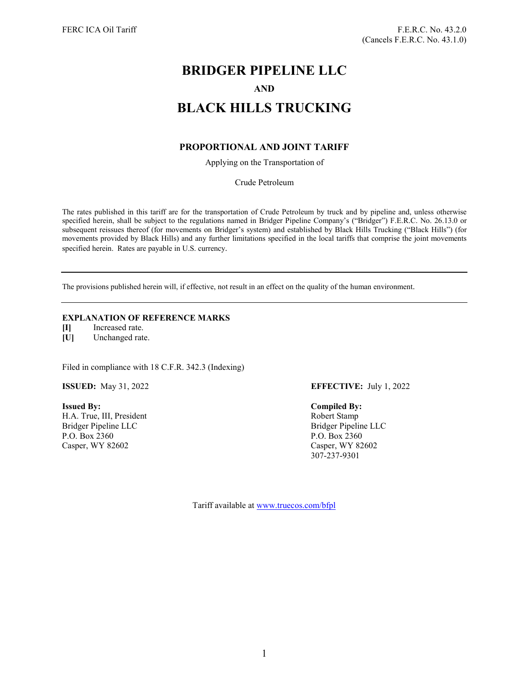# **BRIDGER PIPELINE LLC AND BLACK HILLS TRUCKING**

# **PROPORTIONAL AND JOINT TARIFF**

Applying on the Transportation of

Crude Petroleum

The rates published in this tariff are for the transportation of Crude Petroleum by truck and by pipeline and, unless otherwise specified herein, shall be subject to the regulations named in Bridger Pipeline Company's ("Bridger") F.E.R.C. No. 26.13.0 or subsequent reissues thereof (for movements on Bridger's system) and established by Black Hills Trucking ("Black Hills") (for movements provided by Black Hills) and any further limitations specified in the local tariffs that comprise the joint movements specified herein. Rates are payable in U.S. currency.

The provisions published herein will, if effective, not result in an effect on the quality of the human environment.

## **EXPLANATION OF REFERENCE MARKS**

**[I]** Increased rate.

**[U]** Unchanged rate.

Filed in compliance with 18 C.F.R. 342.3 (Indexing)

**Issued By: Compiled By:** H.A. True, III, President Robert Stamp Bridger Pipeline LLC Bridger Pipeline LLC P.O. Box 2360 P.O. Box 2360 Casper, WY 82602 Casper, WY 82602

**ISSUED:** May 31, 2022 **EFFECTIVE:** July 1, 2022

307-237-9301

Tariff available at [www.truecos.com/bfpl](http://www.truecos.com/bfpl)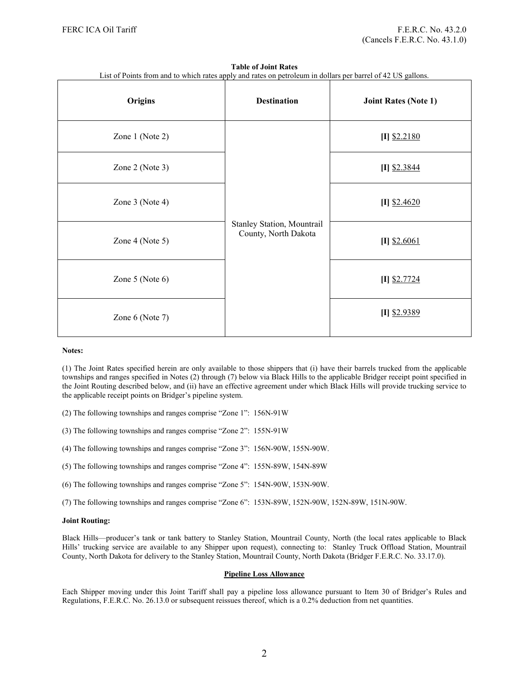|  |  |  | <b>Table of Joint Rates</b> |  |
|--|--|--|-----------------------------|--|
|--|--|--|-----------------------------|--|

|  | List of Points from and to which rates apply and rates on petroleum in dollars per barrel of 42 US gallons. |
|--|-------------------------------------------------------------------------------------------------------------|
|  |                                                                                                             |

| Origins              | <b>Destination</b>                                 | <b>Joint Rates (Note 1)</b> |
|----------------------|----------------------------------------------------|-----------------------------|
| Zone 1 (Note 2)      | Stanley Station, Mountrail<br>County, North Dakota | $[I]$ \$2.2180              |
| Zone 2 (Note 3)      |                                                    | $[I]$ \$2.3844              |
| Zone 3 (Note 4)      |                                                    | $[I]$ \$2.4620              |
| Zone 4 (Note 5)      |                                                    | $[I]$ \$2.6061              |
| Zone $5$ (Note $6$ ) |                                                    | $[I]$ \$2.7724              |
| Zone 6 (Note 7)      |                                                    | $[I]$ \$2.9389              |

#### **Notes:**

(1) The Joint Rates specified herein are only available to those shippers that (i) have their barrels trucked from the applicable townships and ranges specified in Notes (2) through (7) below via Black Hills to the applicable Bridger receipt point specified in the Joint Routing described below, and (ii) have an effective agreement under which Black Hills will provide trucking service to the applicable receipt points on Bridger's pipeline system.

(2) The following townships and ranges comprise "Zone 1": 156N-91W

(3) The following townships and ranges comprise "Zone 2": 155N-91W

(4) The following townships and ranges comprise "Zone 3": 156N-90W, 155N-90W.

(5) The following townships and ranges comprise "Zone 4": 155N-89W, 154N-89W

(6) The following townships and ranges comprise "Zone 5": 154N-90W, 153N-90W.

(7) The following townships and ranges comprise "Zone 6": 153N-89W, 152N-90W, 152N-89W, 151N-90W.

#### **Joint Routing:**

Black Hills—producer's tank or tank battery to Stanley Station, Mountrail County, North (the local rates applicable to Black Hills' trucking service are available to any Shipper upon request), connecting to: Stanley Truck Offload Station, Mountrail County, North Dakota for delivery to the Stanley Station, Mountrail County, North Dakota (Bridger F.E.R.C. No. 33.17.0).

#### **Pipeline Loss Allowance**

Each Shipper moving under this Joint Tariff shall pay a pipeline loss allowance pursuant to Item 30 of Bridger's Rules and Regulations, F.E.R.C. No. 26.13.0 or subsequent reissues thereof, which is a 0.2% deduction from net quantities.